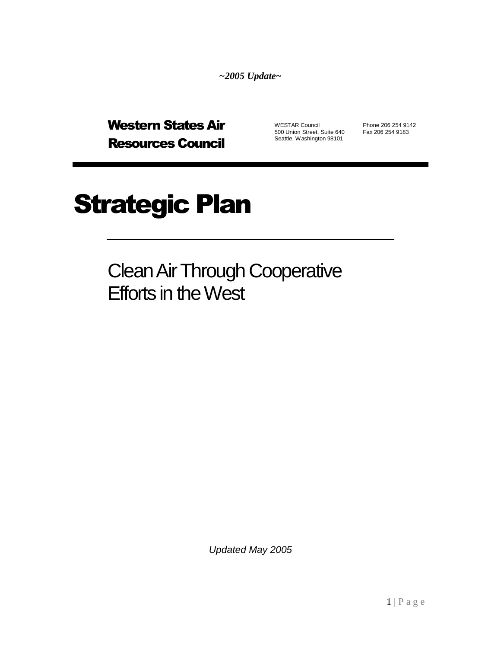*~2005 Update~*

Western States Air Resources Council

WESTAR Council Phone 206 254 9142<br>500 Union Street, Suite 640 Fax 206 254 9183 500 Union Street, Suite 640 Seattle, Washington 98101

# Strategic Plan

Clean Air Through Cooperative Efforts in the West

*Updated May 2005*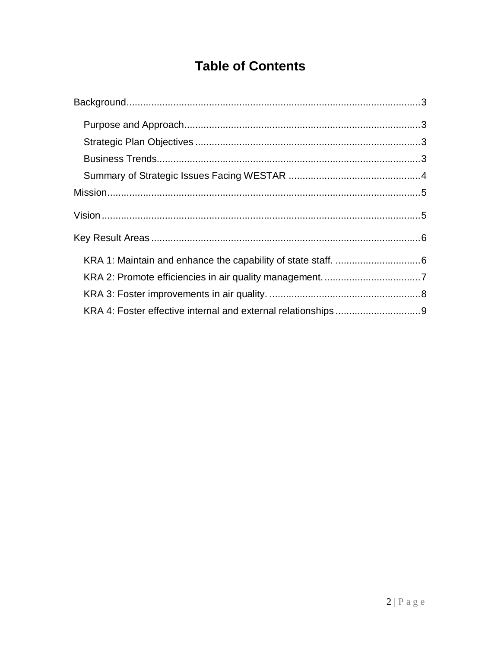### **Table of Contents**

<span id="page-1-0"></span>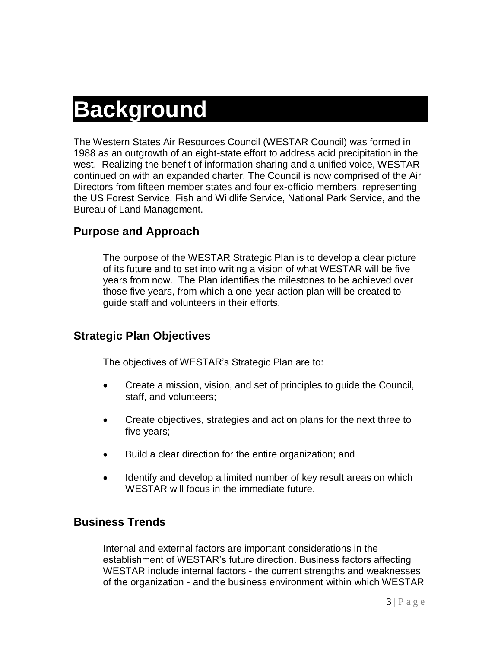# **Background**

The Western States Air Resources Council (WESTAR Council) was formed in 1988 as an outgrowth of an eight-state effort to address acid precipitation in the west. Realizing the benefit of information sharing and a unified voice, WESTAR continued on with an expanded charter. The Council is now comprised of the Air Directors from fifteen member states and four ex-officio members, representing the US Forest Service, Fish and Wildlife Service, National Park Service, and the Bureau of Land Management.

#### <span id="page-2-0"></span>**Purpose and Approach**

The purpose of the WESTAR Strategic Plan is to develop a clear picture of its future and to set into writing a vision of what WESTAR will be five years from now. The Plan identifies the milestones to be achieved over those five years, from which a one-year action plan will be created to guide staff and volunteers in their efforts.

#### <span id="page-2-1"></span>**Strategic Plan Objectives**

The objectives of WESTAR's Strategic Plan are to:

- Create a mission, vision, and set of principles to guide the Council, staff, and volunteers;
- Create objectives, strategies and action plans for the next three to five years;
- Build a clear direction for the entire organization; and
- Identify and develop a limited number of key result areas on which WESTAR will focus in the immediate future.

#### <span id="page-2-2"></span>**Business Trends**

Internal and external factors are important considerations in the establishment of WESTAR's future direction. Business factors affecting WESTAR include internal factors - the current strengths and weaknesses of the organization - and the business environment within which WESTAR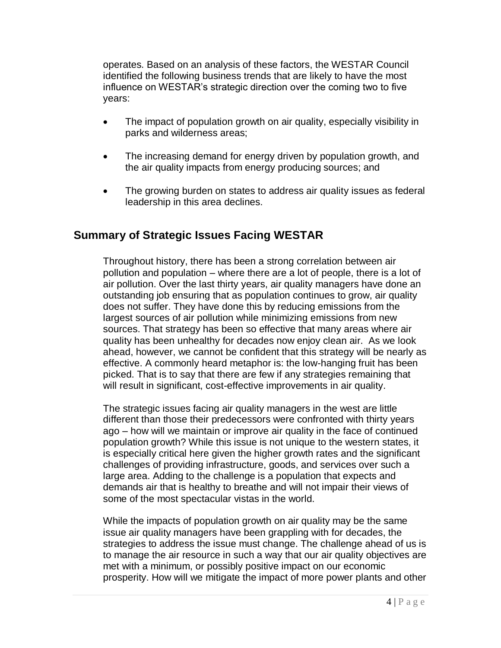operates. Based on an analysis of these factors, the WESTAR Council identified the following business trends that are likely to have the most influence on WESTAR's strategic direction over the coming two to five years:

- The impact of population growth on air quality, especially visibility in parks and wilderness areas;
- The increasing demand for energy driven by population growth, and the air quality impacts from energy producing sources; and
- The growing burden on states to address air quality issues as federal leadership in this area declines.

### <span id="page-3-0"></span>**Summary of Strategic Issues Facing WESTAR**

Throughout history, there has been a strong correlation between air pollution and population – where there are a lot of people, there is a lot of air pollution. Over the last thirty years, air quality managers have done an outstanding job ensuring that as population continues to grow, air quality does not suffer. They have done this by reducing emissions from the largest sources of air pollution while minimizing emissions from new sources. That strategy has been so effective that many areas where air quality has been unhealthy for decades now enjoy clean air. As we look ahead, however, we cannot be confident that this strategy will be nearly as effective. A commonly heard metaphor is: the low-hanging fruit has been picked. That is to say that there are few if any strategies remaining that will result in significant, cost-effective improvements in air quality.

The strategic issues facing air quality managers in the west are little different than those their predecessors were confronted with thirty years ago – how will we maintain or improve air quality in the face of continued population growth? While this issue is not unique to the western states, it is especially critical here given the higher growth rates and the significant challenges of providing infrastructure, goods, and services over such a large area. Adding to the challenge is a population that expects and demands air that is healthy to breathe and will not impair their views of some of the most spectacular vistas in the world.

While the impacts of population growth on air quality may be the same issue air quality managers have been grappling with for decades, the strategies to address the issue must change. The challenge ahead of us is to manage the air resource in such a way that our air quality objectives are met with a minimum, or possibly positive impact on our economic prosperity. How will we mitigate the impact of more power plants and other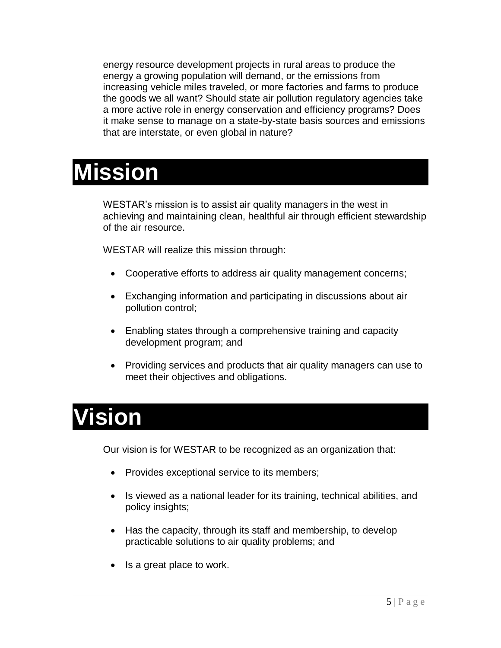energy resource development projects in rural areas to produce the energy a growing population will demand, or the emissions from increasing vehicle miles traveled, or more factories and farms to produce the goods we all want? Should state air pollution regulatory agencies take a more active role in energy conservation and efficiency programs? Does it make sense to manage on a state-by-state basis sources and emissions that are interstate, or even global in nature?

### <span id="page-4-0"></span>**Mission**

WESTAR's mission is to assist air quality managers in the west in achieving and maintaining clean, healthful air through efficient stewardship of the air resource.

WESTAR will realize this mission through:

- Cooperative efforts to address air quality management concerns;
- Exchanging information and participating in discussions about air pollution control;
- Enabling states through a comprehensive training and capacity development program; and
- Providing services and products that air quality managers can use to meet their objectives and obligations.

### <span id="page-4-1"></span>**Vision**

Our vision is for WESTAR to be recognized as an organization that:

- Provides exceptional service to its members;
- Is viewed as a national leader for its training, technical abilities, and policy insights;
- Has the capacity, through its staff and membership, to develop practicable solutions to air quality problems; and
- Is a great place to work.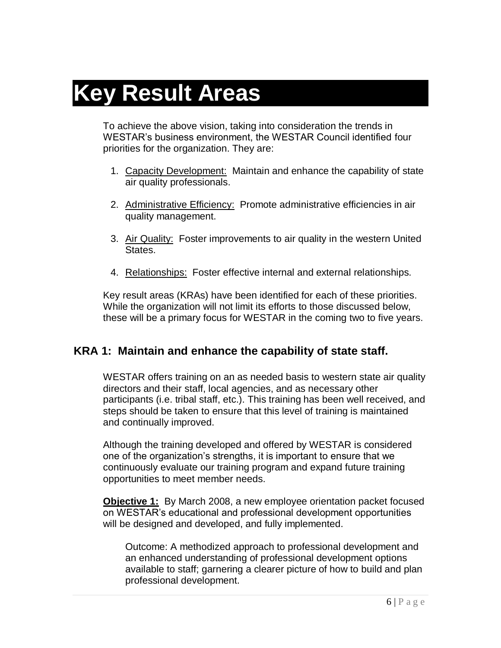## <span id="page-5-0"></span>**Key Result Areas**

To achieve the above vision, taking into consideration the trends in WESTAR's business environment, the WESTAR Council identified four priorities for the organization. They are:

- 1. Capacity Development: Maintain and enhance the capability of state air quality professionals.
- 2. Administrative Efficiency: Promote administrative efficiencies in air quality management.
- 3. Air Quality: Foster improvements to air quality in the western United States.
- 4. Relationships: Foster effective internal and external relationships.

Key result areas (KRAs) have been identified for each of these priorities. While the organization will not limit its efforts to those discussed below, these will be a primary focus for WESTAR in the coming two to five years.

### <span id="page-5-1"></span>**KRA 1: Maintain and enhance the capability of state staff.**

WESTAR offers training on an as needed basis to western state air quality directors and their staff, local agencies, and as necessary other participants (i.e. tribal staff, etc.). This training has been well received, and steps should be taken to ensure that this level of training is maintained and continually improved.

Although the training developed and offered by WESTAR is considered one of the organization's strengths, it is important to ensure that we continuously evaluate our training program and expand future training opportunities to meet member needs.

**Objective 1:** By March 2008, a new employee orientation packet focused on WESTAR's educational and professional development opportunities will be designed and developed, and fully implemented.

Outcome: A methodized approach to professional development and an enhanced understanding of professional development options available to staff; garnering a clearer picture of how to build and plan professional development.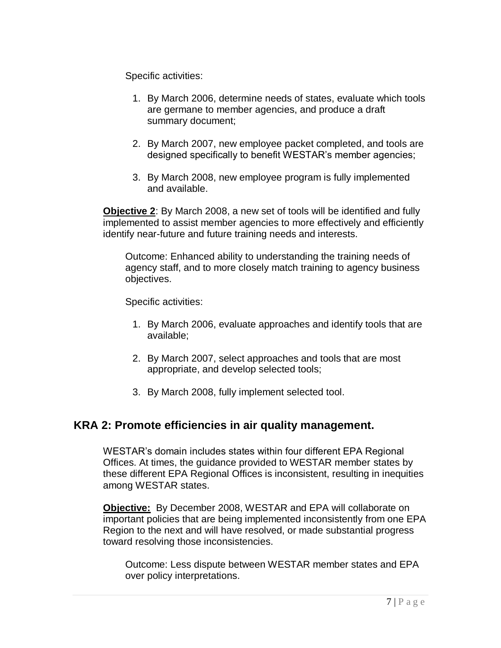Specific activities:

- 1. By March 2006, determine needs of states, evaluate which tools are germane to member agencies, and produce a draft summary document;
- 2. By March 2007, new employee packet completed, and tools are designed specifically to benefit WESTAR's member agencies;
- 3. By March 2008, new employee program is fully implemented and available.

**Objective 2**: By March 2008, a new set of tools will be identified and fully implemented to assist member agencies to more effectively and efficiently identify near-future and future training needs and interests.

Outcome: Enhanced ability to understanding the training needs of agency staff, and to more closely match training to agency business objectives.

Specific activities:

- 1. By March 2006, evaluate approaches and identify tools that are available;
- 2. By March 2007, select approaches and tools that are most appropriate, and develop selected tools;
- 3. By March 2008, fully implement selected tool.

### <span id="page-6-0"></span>**KRA 2: Promote efficiencies in air quality management.**

WESTAR's domain includes states within four different EPA Regional Offices. At times, the guidance provided to WESTAR member states by these different EPA Regional Offices is inconsistent, resulting in inequities among WESTAR states.

**Objective:** By December 2008, WESTAR and EPA will collaborate on important policies that are being implemented inconsistently from one EPA Region to the next and will have resolved, or made substantial progress toward resolving those inconsistencies.

Outcome: Less dispute between WESTAR member states and EPA over policy interpretations.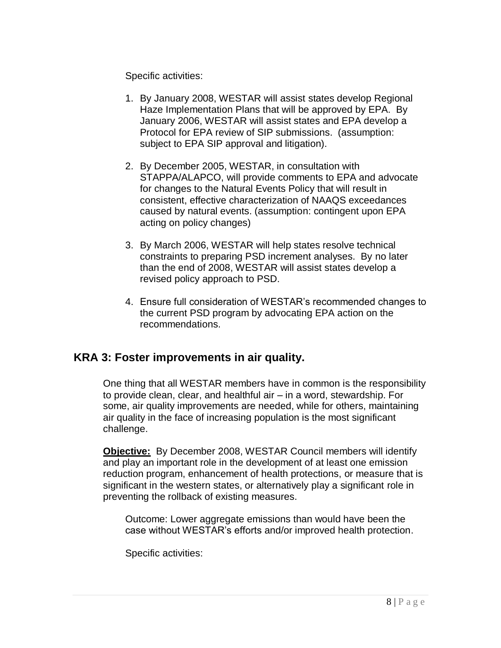Specific activities:

- 1. By January 2008, WESTAR will assist states develop Regional Haze Implementation Plans that will be approved by EPA. By January 2006, WESTAR will assist states and EPA develop a Protocol for EPA review of SIP submissions. (assumption: subject to EPA SIP approval and litigation).
- 2. By December 2005, WESTAR, in consultation with STAPPA/ALAPCO, will provide comments to EPA and advocate for changes to the Natural Events Policy that will result in consistent, effective characterization of NAAQS exceedances caused by natural events. (assumption: contingent upon EPA acting on policy changes)
- 3. By March 2006, WESTAR will help states resolve technical constraints to preparing PSD increment analyses. By no later than the end of 2008, WESTAR will assist states develop a revised policy approach to PSD.
- 4. Ensure full consideration of WESTAR's recommended changes to the current PSD program by advocating EPA action on the recommendations.

### <span id="page-7-0"></span>**KRA 3: Foster improvements in air quality.**

One thing that all WESTAR members have in common is the responsibility to provide clean, clear, and healthful air – in a word, stewardship. For some, air quality improvements are needed, while for others, maintaining air quality in the face of increasing population is the most significant challenge.

**Objective:** By December 2008, WESTAR Council members will identify and play an important role in the development of at least one emission reduction program, enhancement of health protections, or measure that is significant in the western states, or alternatively play a significant role in preventing the rollback of existing measures.

Outcome: Lower aggregate emissions than would have been the case without WESTAR's efforts and/or improved health protection.

Specific activities: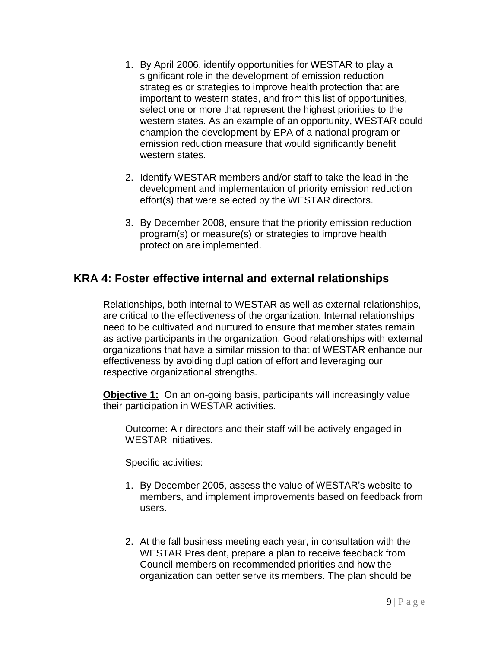- 1. By April 2006, identify opportunities for WESTAR to play a significant role in the development of emission reduction strategies or strategies to improve health protection that are important to western states, and from this list of opportunities, select one or more that represent the highest priorities to the western states. As an example of an opportunity, WESTAR could champion the development by EPA of a national program or emission reduction measure that would significantly benefit western states.
- 2. Identify WESTAR members and/or staff to take the lead in the development and implementation of priority emission reduction effort(s) that were selected by the WESTAR directors.
- 3. By December 2008, ensure that the priority emission reduction program(s) or measure(s) or strategies to improve health protection are implemented.

### <span id="page-8-0"></span>**KRA 4: Foster effective internal and external relationships**

Relationships, both internal to WESTAR as well as external relationships, are critical to the effectiveness of the organization. Internal relationships need to be cultivated and nurtured to ensure that member states remain as active participants in the organization. Good relationships with external organizations that have a similar mission to that of WESTAR enhance our effectiveness by avoiding duplication of effort and leveraging our respective organizational strengths.

**Objective 1:** On an on-going basis, participants will increasingly value their participation in WESTAR activities.

Outcome: Air directors and their staff will be actively engaged in WESTAR initiatives.

Specific activities:

- 1. By December 2005, assess the value of WESTAR's website to members, and implement improvements based on feedback from users.
- 2. At the fall business meeting each year, in consultation with the WESTAR President, prepare a plan to receive feedback from Council members on recommended priorities and how the organization can better serve its members. The plan should be